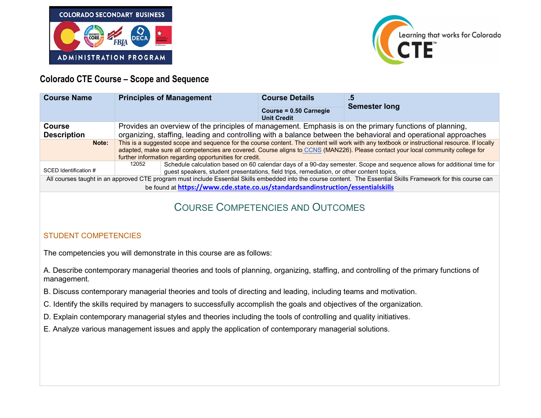



# **Colorado CTE Course – Scope and Sequence**

| <b>Course Name</b>                                                                                                                                               | <b>Principles of Management</b>                                                                                                              |  | <b>Course Details</b>                        | .5<br><b>Semester long</b> |
|------------------------------------------------------------------------------------------------------------------------------------------------------------------|----------------------------------------------------------------------------------------------------------------------------------------------|--|----------------------------------------------|----------------------------|
|                                                                                                                                                                  |                                                                                                                                              |  | Course = 0.50 Carnegie<br><b>Unit Credit</b> |                            |
| <b>Course</b>                                                                                                                                                    | Provides an overview of the principles of management. Emphasis is on the primary functions of planning,                                      |  |                                              |                            |
| <b>Description</b>                                                                                                                                               | organizing, staffing, leading and controlling with a balance between the behavioral and operational approaches                               |  |                                              |                            |
| Note:                                                                                                                                                            | This is a suggested scope and sequence for the course content. The content will work with any textbook or instructional resource. If locally |  |                                              |                            |
|                                                                                                                                                                  | adapted, make sure all competencies are covered. Course aligns to CCNS (MAN226). Please contact your local community college for             |  |                                              |                            |
|                                                                                                                                                                  | further information regarding opportunities for credit.                                                                                      |  |                                              |                            |
|                                                                                                                                                                  | Schedule calculation based on 60 calendar days of a 90-day semester. Scope and sequence allows for additional time for<br>12052              |  |                                              |                            |
| SCED Identification #                                                                                                                                            | guest speakers, student presentations, field trips, remediation, or other content topics.                                                    |  |                                              |                            |
| All courses taught in an approved CTE program must include Essential Skills embedded into the course content. The Essential Skills Framework for this course can |                                                                                                                                              |  |                                              |                            |
| be found at https://www.cde.state.co.us/standardsandinstruction/essentialskills                                                                                  |                                                                                                                                              |  |                                              |                            |
|                                                                                                                                                                  |                                                                                                                                              |  |                                              |                            |

# COURSE COMPETENCIES AND OUTCOMES

#### STUDENT COMPETENCIES

The competencies you will demonstrate in this course are as follows:

A. Describe contemporary managerial theories and tools of planning, organizing, staffing, and controlling of the primary functions of management.

- B. Discuss contemporary managerial theories and tools of directing and leading, including teams and motivation.
- C. Identify the skills required by managers to successfully accomplish the goals and objectives of the organization.
- D. Explain contemporary managerial styles and theories including the tools of controlling and quality initiatives.
- E. Analyze various management issues and apply the application of contemporary managerial solutions.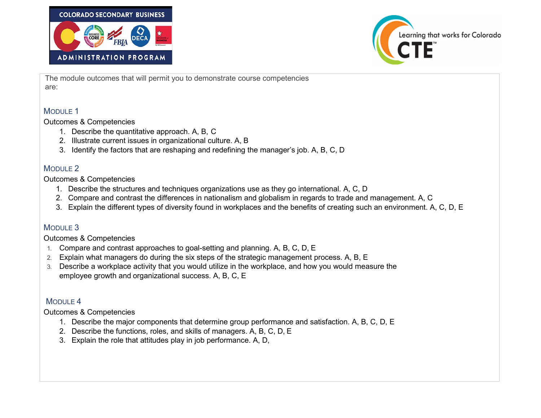



The module outcomes that will permit you to demonstrate course competencies are:

### MODULE 1

Outcomes & Competencies

- 1. Describe the quantitative approach. A, B, C
- 2. Illustrate current issues in organizational culture. A, B
- 3. Identify the factors that are reshaping and redefining the manager's job. A, B, C, D

### MODULE 2

Outcomes & Competencies

- 1. Describe the structures and techniques organizations use as they go international. A, C, D
- 2. Compare and contrast the differences in nationalism and globalism in regards to trade and management. A, C
- 3. Explain the different types of diversity found in workplaces and the benefits of creating such an environment. A, C, D, E

## MODULE 3

Outcomes & Competencies

- 1. Compare and contrast approaches to goal-setting and planning. A, B, C, D, E
- 2. Explain what managers do during the six steps of the strategic management process. A, B, E
- 3. Describe a workplace activity that you would utilize in the workplace, and how you would measure the employee growth and organizational success. A, B, C, E

## MODULE 4

Outcomes & Competencies

- 1. Describe the major components that determine group performance and satisfaction. A, B, C, D, E
- 2. Describe the functions, roles, and skills of managers. A, B, C, D, E
- 3. Explain the role that attitudes play in job performance. A, D,